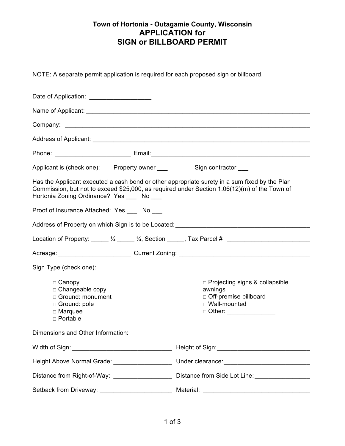## **Town of Hortonia - Outagamie County, Wisconsin APPLICATION for SIGN or BILLBOARD PERMIT**

NOTE: A separate permit application is required for each proposed sign or billboard.

| Date of Application: _______________________                                                                                                                                                                                                |  |                                                                                                                            |  |  |
|---------------------------------------------------------------------------------------------------------------------------------------------------------------------------------------------------------------------------------------------|--|----------------------------------------------------------------------------------------------------------------------------|--|--|
|                                                                                                                                                                                                                                             |  |                                                                                                                            |  |  |
|                                                                                                                                                                                                                                             |  |                                                                                                                            |  |  |
|                                                                                                                                                                                                                                             |  |                                                                                                                            |  |  |
|                                                                                                                                                                                                                                             |  |                                                                                                                            |  |  |
| Applicant is (check one): Property owner _____ Sign contractor ___                                                                                                                                                                          |  |                                                                                                                            |  |  |
| Has the Applicant executed a cash bond or other appropriate surety in a sum fixed by the Plan<br>Commission, but not to exceed \$25,000, as required under Section 1.06(12)(m) of the Town of<br>Hortonia Zoning Ordinance? Yes ____ No ___ |  |                                                                                                                            |  |  |
| Proof of Insurance Attached: Yes ____ No ___                                                                                                                                                                                                |  |                                                                                                                            |  |  |
|                                                                                                                                                                                                                                             |  |                                                                                                                            |  |  |
|                                                                                                                                                                                                                                             |  | Location of Property: _____ 1/4 _____ 1/4, Section _____, Tax Parcel # ____________________________                        |  |  |
|                                                                                                                                                                                                                                             |  |                                                                                                                            |  |  |
| Sign Type (check one):                                                                                                                                                                                                                      |  |                                                                                                                            |  |  |
| $\Box$ Canopy<br>$\Box$ Changeable copy<br>□ Ground: monument<br>□ Ground: pole<br>$\Box$ Marquee<br>$\Box$ Portable                                                                                                                        |  | $\Box$ Projecting signs & collapsible<br>awnings<br>□ Off-premise billboard<br>□ Wall-mounted<br>□ Other: ________________ |  |  |
| Dimensions and Other Information:                                                                                                                                                                                                           |  |                                                                                                                            |  |  |
|                                                                                                                                                                                                                                             |  |                                                                                                                            |  |  |
| Height Above Normal Grade: ___________________                                                                                                                                                                                              |  |                                                                                                                            |  |  |
| Distance from Right-of-Way: __________________                                                                                                                                                                                              |  | Distance from Side Lot Line: __________________                                                                            |  |  |
|                                                                                                                                                                                                                                             |  |                                                                                                                            |  |  |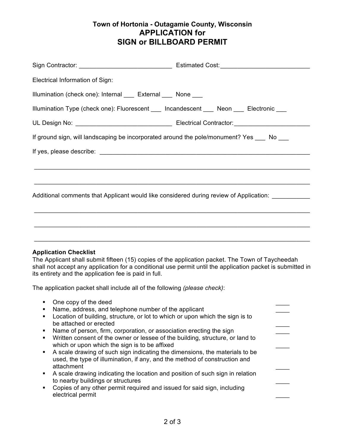## **Town of Hortonia - Outagamie County, Wisconsin APPLICATION for SIGN or BILLBOARD PERMIT**

| Electrical Information of Sign:                                                                    |  |
|----------------------------------------------------------------------------------------------------|--|
| Illumination (check one): Internal ____ External ____ None ____                                    |  |
| Illumination Type (check one): Fluorescent ___ Incandescent ___ Neon ___ Electronic ___            |  |
|                                                                                                    |  |
| If ground sign, will landscaping be incorporated around the pole/monument? Yes ____ No ___         |  |
|                                                                                                    |  |
|                                                                                                    |  |
|                                                                                                    |  |
| Additional comments that Applicant would like considered during review of Application: ___________ |  |
|                                                                                                    |  |
|                                                                                                    |  |
|                                                                                                    |  |
|                                                                                                    |  |

## **Application Checklist**

The Applicant shall submit fifteen (15) copies of the application packet. The Town of Taycheedah shall not accept any application for a conditional use permit until the application packet is submitted in its entirety and the application fee is paid in full.

The application packet shall include all of the following *(please check)*:

|                | One copy of the deed                                                                                                                                                    |  |
|----------------|-------------------------------------------------------------------------------------------------------------------------------------------------------------------------|--|
|                | Name, address, and telephone number of the applicant                                                                                                                    |  |
| $\blacksquare$ | Location of building, structure, or lot to which or upon which the sign is to                                                                                           |  |
|                | be attached or erected                                                                                                                                                  |  |
|                | Name of person, firm, corporation, or association erecting the sign                                                                                                     |  |
| ٠              | Written consent of the owner or lessee of the building, structure, or land to<br>which or upon which the sign is to be affixed                                          |  |
|                | A scale drawing of such sign indicating the dimensions, the materials to be<br>used, the type of illumination, if any, and the method of construction and<br>attachment |  |
| $\blacksquare$ | A scale drawing indicating the location and position of such sign in relation<br>to nearby buildings or structures                                                      |  |
|                | Copies of any other permit required and issued for said sign, including<br>electrical permit                                                                            |  |